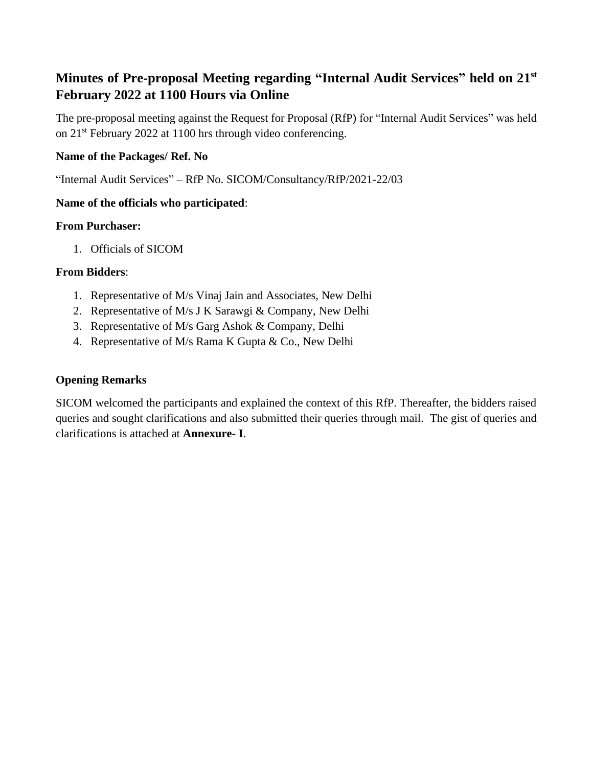# **Minutes of Pre-proposal Meeting regarding "Internal Audit Services" held on 21st February 2022 at 1100 Hours via Online**

The pre-proposal meeting against the Request for Proposal (RfP) for "Internal Audit Services" was held on 21st February 2022 at 1100 hrs through video conferencing.

## **Name of the Packages/ Ref. No**

"Internal Audit Services" – RfP No. SICOM/Consultancy/RfP/2021-22/03

# **Name of the officials who participated**:

#### **From Purchaser:**

1. Officials of SICOM

#### **From Bidders**:

- 1. Representative of M/s Vinaj Jain and Associates, New Delhi
- 2. Representative of M/s J K Sarawgi & Company, New Delhi
- 3. Representative of M/s Garg Ashok & Company, Delhi
- 4. Representative of M/s Rama K Gupta & Co., New Delhi

## **Opening Remarks**

SICOM welcomed the participants and explained the context of this RfP. Thereafter, the bidders raised queries and sought clarifications and also submitted their queries through mail. The gist of queries and clarifications is attached at **Annexure- I**.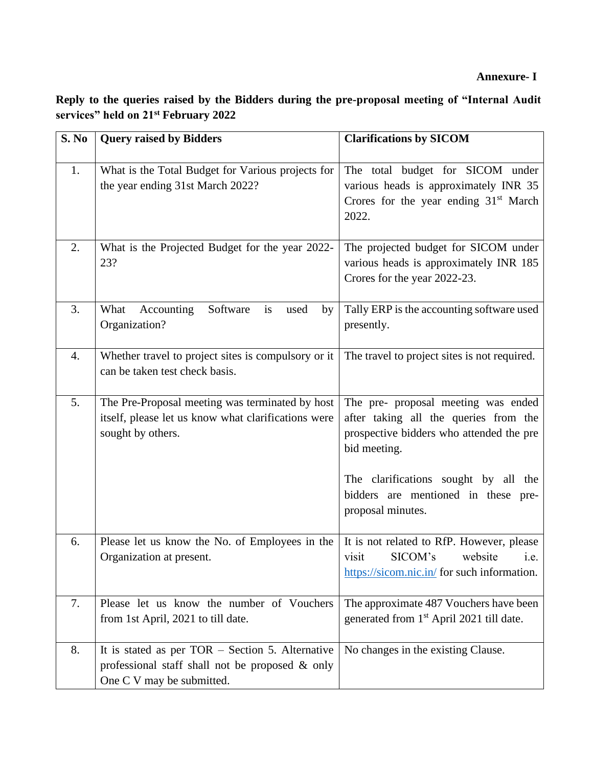# **Annexure- I**

**Reply to the queries raised by the Bidders during the pre-proposal meeting of "Internal Audit services" held on 21st February 2022** 

| S. No | <b>Query raised by Bidders</b>                                                                                                         | <b>Clarifications by SICOM</b>                                                                                                                                                                                          |
|-------|----------------------------------------------------------------------------------------------------------------------------------------|-------------------------------------------------------------------------------------------------------------------------------------------------------------------------------------------------------------------------|
| 1.    | What is the Total Budget for Various projects for<br>the year ending 31st March 2022?                                                  | The total budget for SICOM under<br>various heads is approximately INR 35<br>Crores for the year ending 31 <sup>st</sup> March<br>2022.                                                                                 |
| 2.    | What is the Projected Budget for the year 2022-<br>23?                                                                                 | The projected budget for SICOM under<br>various heads is approximately INR 185<br>Crores for the year 2022-23.                                                                                                          |
| 3.    | Software<br>What<br>Accounting<br>is<br>used<br>by<br>Organization?                                                                    | Tally ERP is the accounting software used<br>presently.                                                                                                                                                                 |
| 4.    | Whether travel to project sites is compulsory or it<br>can be taken test check basis.                                                  | The travel to project sites is not required.                                                                                                                                                                            |
| 5.    | The Pre-Proposal meeting was terminated by host<br>itself, please let us know what clarifications were<br>sought by others.            | The pre- proposal meeting was ended<br>after taking all the queries from the<br>prospective bidders who attended the pre<br>bid meeting.<br>The clarifications sought by all the<br>bidders are mentioned in these pre- |
|       |                                                                                                                                        | proposal minutes.                                                                                                                                                                                                       |
| 6.    | Please let us know the No. of Employees in the<br>Organization at present.                                                             | It is not related to RfP. However, please<br>SICOM's<br>website<br>visit<br>i.e.<br>https://sicom.nic.in/ for such information.                                                                                         |
| 7.    | Please let us know the number of Vouchers<br>from 1st April, 2021 to till date.                                                        | The approximate 487 Vouchers have been<br>generated from 1 <sup>st</sup> April 2021 till date.                                                                                                                          |
| 8.    | It is stated as per $TOR - Section 5$ . Alternative<br>professional staff shall not be proposed $\&$ only<br>One C V may be submitted. | No changes in the existing Clause.                                                                                                                                                                                      |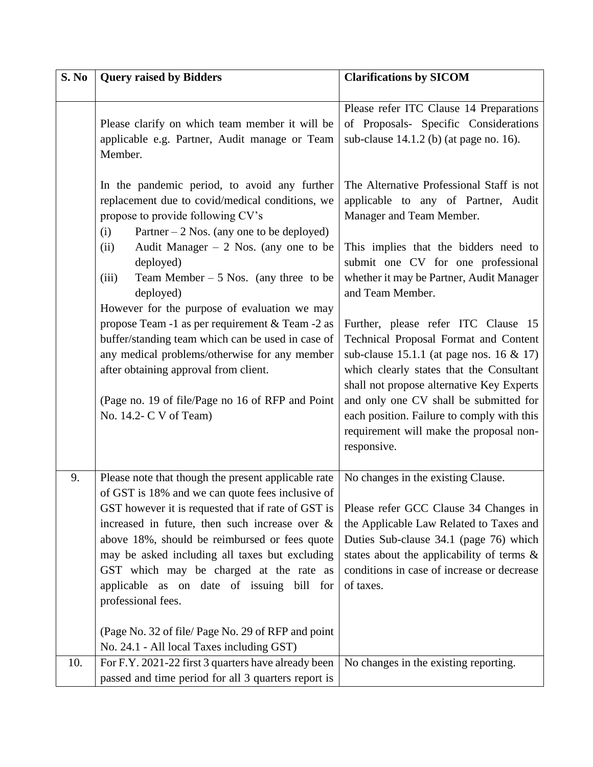| S. No | <b>Query raised by Bidders</b>                                                                                                                                                                                                                                                                                                                                                                                                      | <b>Clarifications by SICOM</b>                                                                                                                                                                                                                                                                                                                                         |
|-------|-------------------------------------------------------------------------------------------------------------------------------------------------------------------------------------------------------------------------------------------------------------------------------------------------------------------------------------------------------------------------------------------------------------------------------------|------------------------------------------------------------------------------------------------------------------------------------------------------------------------------------------------------------------------------------------------------------------------------------------------------------------------------------------------------------------------|
|       |                                                                                                                                                                                                                                                                                                                                                                                                                                     |                                                                                                                                                                                                                                                                                                                                                                        |
|       | Please clarify on which team member it will be<br>applicable e.g. Partner, Audit manage or Team<br>Member.                                                                                                                                                                                                                                                                                                                          | Please refer ITC Clause 14 Preparations<br>of Proposals- Specific Considerations<br>sub-clause $14.1.2$ (b) (at page no. 16).                                                                                                                                                                                                                                          |
|       | In the pandemic period, to avoid any further<br>replacement due to covid/medical conditions, we<br>propose to provide following CV's<br>(i)<br>Partner $-2$ Nos. (any one to be deployed)                                                                                                                                                                                                                                           | The Alternative Professional Staff is not<br>applicable to any of Partner, Audit<br>Manager and Team Member.                                                                                                                                                                                                                                                           |
|       | Audit Manager $-2$ Nos. (any one to be<br>(ii)<br>deployed)<br>Team Member $-5$ Nos. (any three to be<br>(iii)<br>deployed)<br>However for the purpose of evaluation we may                                                                                                                                                                                                                                                         | This implies that the bidders need to<br>submit one CV for one professional<br>whether it may be Partner, Audit Manager<br>and Team Member.                                                                                                                                                                                                                            |
|       | propose Team -1 as per requirement & Team -2 as<br>buffer/standing team which can be used in case of<br>any medical problems/otherwise for any member<br>after obtaining approval from client.<br>(Page no. 19 of file/Page no 16 of RFP and Point<br>No. 14.2- C V of Team)                                                                                                                                                        | Further, please refer ITC Clause 15<br>Technical Proposal Format and Content<br>sub-clause 15.1.1 (at page nos. 16 $\&$ 17)<br>which clearly states that the Consultant<br>shall not propose alternative Key Experts<br>and only one CV shall be submitted for<br>each position. Failure to comply with this<br>requirement will make the proposal non-<br>responsive. |
| 9.    | Please note that though the present applicable rate<br>of GST is 18% and we can quote fees inclusive of<br>GST however it is requested that if rate of GST is<br>increased in future, then such increase over $\&$<br>above 18%, should be reimbursed or fees quote<br>may be asked including all taxes but excluding<br>GST which may be charged at the rate as<br>applicable as on date of issuing bill for<br>professional fees. | No changes in the existing Clause.<br>Please refer GCC Clause 34 Changes in<br>the Applicable Law Related to Taxes and<br>Duties Sub-clause 34.1 (page 76) which<br>states about the applicability of terms $\&$<br>conditions in case of increase or decrease<br>of taxes.                                                                                            |
| 10.   | (Page No. 32 of file/ Page No. 29 of RFP and point<br>No. 24.1 - All local Taxes including GST)<br>For F.Y. 2021-22 first 3 quarters have already been                                                                                                                                                                                                                                                                              | No changes in the existing reporting.                                                                                                                                                                                                                                                                                                                                  |
|       | passed and time period for all 3 quarters report is                                                                                                                                                                                                                                                                                                                                                                                 |                                                                                                                                                                                                                                                                                                                                                                        |